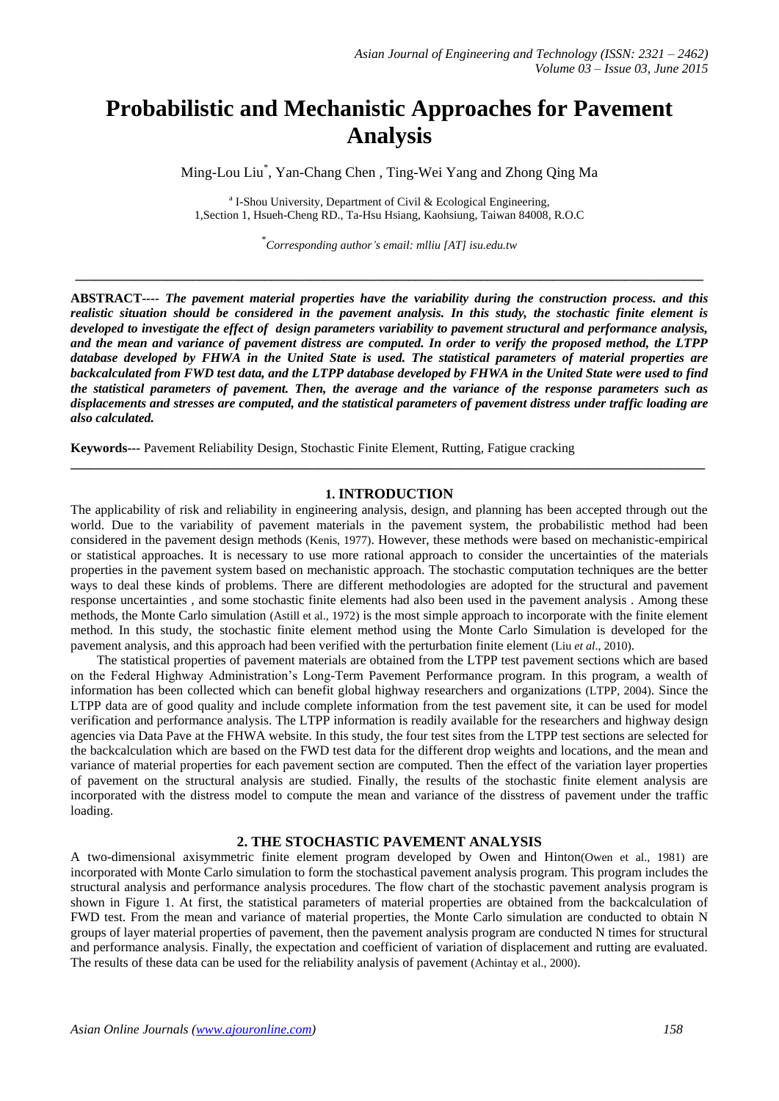# **Probabilistic and Mechanistic Approaches for Pavement Analysis**

Ming-Lou Liu\* , Yan-Chang Chen , Ting-Wei Yang and Zhong Qing Ma

<sup>a</sup> I-Shou University, Department of Civil & Ecological Engineering, 1,Section 1, Hsueh-Cheng RD., Ta-Hsu Hsiang, Kaohsiung, Taiwan 84008, R.O.C

\* *Corresponding author's email: mlliu [AT] isu.edu.tw*

**\_\_\_\_\_\_\_\_\_\_\_\_\_\_\_\_\_\_\_\_\_\_\_\_\_\_\_\_\_\_\_\_\_\_\_\_\_\_\_\_\_\_\_\_\_\_\_\_\_\_\_\_\_\_\_\_\_\_\_\_\_\_\_\_\_\_\_\_\_\_\_\_\_\_\_\_\_\_\_\_\_\_\_\_\_\_\_\_\_\_\_\_\_\_\_\_**

**ABSTRACT----** *The pavement material properties have the variability during the construction process. and this realistic situation should be considered in the pavement analysis. In this study, the stochastic finite element is developed to investigate the effect of design parameters variability to pavement structural and performance analysis, and the mean and variance of pavement distress are computed. In order to verify the proposed method, the LTPP database developed by FHWA in the United State is used. The statistical parameters of material properties are backcalculated from FWD test data, and the LTPP database developed by FHWA in the United State were used to find the statistical parameters of pavement. Then, the average and the variance of the response parameters such as displacements and stresses are computed, and the statistical parameters of pavement distress under traffic loading are also calculated.* 

**Keywords---** Pavement Reliability Design, Stochastic Finite Element, Rutting, Fatigue cracking

#### **1. INTRODUCTION**

**\_\_\_\_\_\_\_\_\_\_\_\_\_\_\_\_\_\_\_\_\_\_\_\_\_\_\_\_\_\_\_\_\_\_\_\_\_\_\_\_\_\_\_\_\_\_\_\_\_\_\_\_\_\_\_\_\_\_\_\_\_\_\_\_\_\_\_\_\_\_\_\_\_\_\_\_\_\_\_\_\_\_\_\_\_\_\_\_\_\_\_\_\_\_\_\_\_**

The applicability of risk and reliability in engineering analysis, design, and planning has been accepted through out the world. Due to the variability of pavement materials in the pavement system, the probabilistic method had been considered in the pavement design methods (Kenis, 1977). However, these methods were based on mechanistic-empirical or statistical approaches. It is necessary to use more rational approach to consider the uncertainties of the materials properties in the pavement system based on mechanistic approach. The stochastic computation techniques are the better ways to deal these kinds of problems. There are different methodologies are adopted for the structural and pavement response uncertainties , and some stochastic finite elements had also been used in the pavement analysis . Among these methods, the Monte Carlo simulation (Astill et al., 1972) is the most simple approach to incorporate with the finite element method. In this study, the stochastic finite element method using the Monte Carlo Simulation is developed for the pavement analysis, and this approach had been verified with the perturbation finite element (Liu *et al*., 2010).

The statistical properties of pavement materials are obtained from the LTPP test pavement sections which are based on the Federal Highway Administration's Long-Term Pavement Performance program. In this program, a wealth of information has been collected which can benefit global highway researchers and organizations (LTPP, 2004). Since the LTPP data are of good quality and include complete information from the test pavement site, it can be used for model verification and performance analysis. The LTPP information is readily available for the researchers and highway design agencies via Data Pave at the FHWA website. In this study, the four test sites from the LTPP test sections are selected for the backcalculation which are based on the FWD test data for the different drop weights and locations, and the mean and variance of material properties for each pavement section are computed. Then the effect of the variation layer properties of pavement on the structural analysis are studied. Finally, the results of the stochastic finite element analysis are incorporated with the distress model to compute the mean and variance of the disstress of pavement under the traffic loading.

### **2. THE STOCHASTIC PAVEMENT ANALYSIS**

A two-dimensional axisymmetric finite element program developed by Owen and Hinton(Owen et al., 1981) are incorporated with Monte Carlo simulation to form the stochastical pavement analysis program. This program includes the structural analysis and performance analysis procedures. The flow chart of the stochastic pavement analysis program is shown in Figure 1. At first, the statistical parameters of material properties are obtained from the backcalculation of FWD test. From the mean and variance of material properties, the Monte Carlo simulation are conducted to obtain N groups of layer material properties of pavement, then the pavement analysis program are conducted N times for structural and performance analysis. Finally, the expectation and coefficient of variation of displacement and rutting are evaluated. The results of these data can be used for the reliability analysis of pavement (Achintay et al., 2000).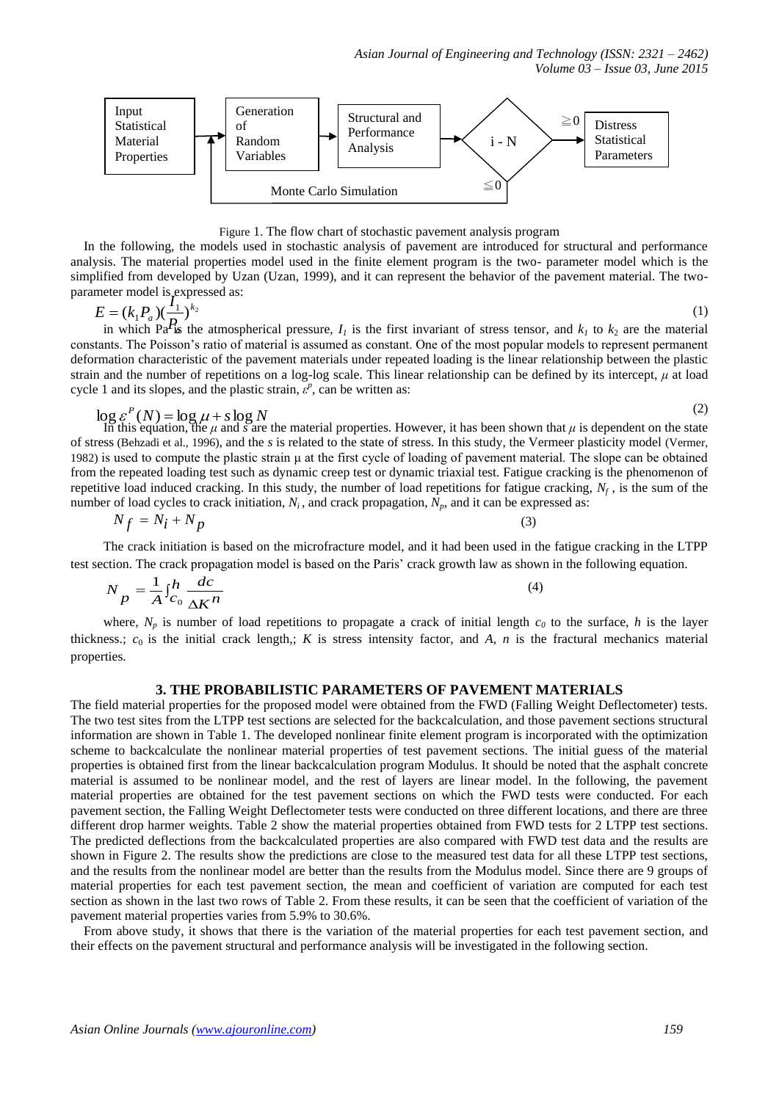

Figure 1. The flow chart of stochastic pavement analysis program

In the following, the models used in stochastic analysis of pavement are introduced for structural and performance analysis. The material properties model used in the finite element program is the two- parameter model which is the simplified from developed by Uzan (Uzan, 1999), and it can represent the behavior of the pavement material. The twoparameter model is expressed as:<br> $F_{\alpha}$  (*I*, **P**) (*I*<sub>1</sub>) k<sub>2</sub>

$$
E = (k_1 P_a) (\frac{I_1}{P_a})^{k_2}
$$
 (1)

in which Pa<sup>*I*</sup>**is** the atmospherical pressure,  $I_1$  is the first invariant of stress tensor, and  $k_1$  to  $k_2$  are the material constants. The Poisson's ratio of material is assumed as constant. One of the most popular models to represent permanent deformation characteristic of the pavement materials under repeated loading is the linear relationship between the plastic strain and the number of repetitions on a log-log scale. This linear relationship can be defined by its intercept, *μ* at load cycle 1 and its slopes, and the plastic strain,  $\varepsilon^p$ , can be written as:

$$
\log \varepsilon^P(N) = \log \mu + s \log N
$$

In this equation, the  $\mu$  and *s* are the material properties. However, it has been shown that  $\mu$  is dependent on the state of stress (Behzadi et al., 1996), and the *s* is related to the state of stress. In this study, the Vermeer plasticity model (Vermer, 1982) is used to compute the plastic strain μ at the first cycle of loading of pavement material. The slope can be obtained from the repeated loading test such as dynamic creep test or dynamic triaxial test. Fatigue cracking is the phenomenon of repetitive load induced cracking. In this study, the number of load repetitions for fatigue cracking, *N<sup>f</sup>* , is the sum of the number of load cycles to crack initiation,  $N_i$ , and crack propagation,  $N_p$ , and it can be expressed as:

$$
N_f = N_i + N_p \tag{3}
$$

The crack initiation is based on the microfracture model, and it had been used in the fatigue cracking in the LTPP test section. The crack propagation model is based on the Paris' crack growth law as shown in the following equation.

$$
N_p = \frac{1}{A} \int_{C_0}^{h} \frac{dc}{\Delta K^n}
$$
 (4)

where,  $N_p$  is number of load repetitions to propagate a crack of initial length  $c_0$  to the surface,  $h$  is the layer thickness.;  $c_0$  is the initial crack length,; *K* is stress intensity factor, and *A*, *n* is the fractural mechanics material properties.

## **3. THE PROBABILISTIC PARAMETERS OF PAVEMENT MATERIALS**

The field material properties for the proposed model were obtained from the FWD (Falling Weight Deflectometer) tests. The two test sites from the LTPP test sections are selected for the backcalculation, and those pavement sections structural information are shown in Table 1. The developed nonlinear finite element program is incorporated with the optimization scheme to backcalculate the nonlinear material properties of test pavement sections. The initial guess of the material properties is obtained first from the linear backcalculation program Modulus. It should be noted that the asphalt concrete material is assumed to be nonlinear model, and the rest of layers are linear model. In the following, the pavement material properties are obtained for the test pavement sections on which the FWD tests were conducted. For each pavement section, the Falling Weight Deflectometer tests were conducted on three different locations, and there are three different drop harmer weights. Table 2 show the material properties obtained from FWD tests for 2 LTPP test sections. The predicted deflections from the backcalculated properties are also compared with FWD test data and the results are shown in Figure 2. The results show the predictions are close to the measured test data for all these LTPP test sections, and the results from the nonlinear model are better than the results from the Modulus model. Since there are 9 groups of material properties for each test pavement section, the mean and coefficient of variation are computed for each test section as shown in the last two rows of Table 2. From these results, it can be seen that the coefficient of variation of the pavement material properties varies from 5.9% to 30.6%.

From above study, it shows that there is the variation of the material properties for each test pavement section, and their effects on the pavement structural and performance analysis will be investigated in the following section.

(2)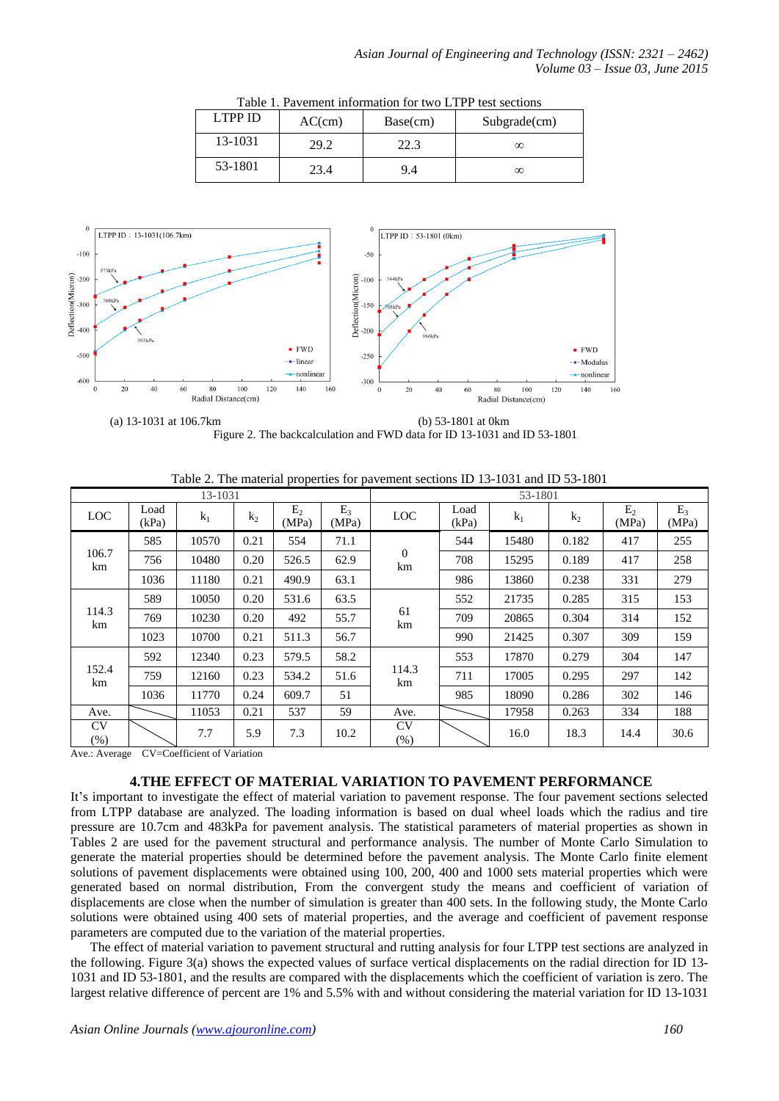| LTPP ID | AC(cm) | Base(cm) | Subgrade(cm) |
|---------|--------|----------|--------------|
| 13-1031 | 29.2   | 22.3     | $\infty$     |
| 53-1801 | 23.4   | 9.4      | $\infty$     |

Table 1. Pavement information for two LTPP test sections



 (a) 13-1031 at 106.7km (b) 53-1801 at 0km Figure 2. The backcalculation and FWD data for ID 13-1031 and ID 53-1801

| 13-1031             |               |       |       |                         | 53-1801        |                      |               |       |                |                         |                |
|---------------------|---------------|-------|-------|-------------------------|----------------|----------------------|---------------|-------|----------------|-------------------------|----------------|
| <b>LOC</b>          | Load<br>(kPa) | $k_1$ | $k_2$ | E <sub>2</sub><br>(MPa) | $E_3$<br>(MPa) | <b>LOC</b>           | Load<br>(kPa) | $k_1$ | k <sub>2</sub> | E <sub>2</sub><br>(MPa) | $E_3$<br>(MPa) |
| 106.7<br>km         | 585           | 10570 | 0.21  | 554                     | 71.1           | $\overline{0}$<br>km | 544           | 15480 | 0.182          | 417                     | 255            |
|                     | 756           | 10480 | 0.20  | 526.5                   | 62.9           |                      | 708           | 15295 | 0.189          | 417                     | 258            |
|                     | 1036          | 11180 | 0.21  | 490.9                   | 63.1           |                      | 986           | 13860 | 0.238          | 331                     | 279            |
| 114.3<br>km         | 589           | 10050 | 0.20  | 531.6                   | 63.5           | 61<br>km             | 552           | 21735 | 0.285          | 315                     | 153            |
|                     | 769           | 10230 | 0.20  | 492                     | 55.7           |                      | 709           | 20865 | 0.304          | 314                     | 152            |
|                     | 1023          | 10700 | 0.21  | 511.3                   | 56.7           |                      | 990           | 21425 | 0.307          | 309                     | 159            |
| 152.4<br>km         | 592           | 12340 | 0.23  | 579.5                   | 58.2           | 114.3<br>km          | 553           | 17870 | 0.279          | 304                     | 147            |
|                     | 759           | 12160 | 0.23  | 534.2                   | 51.6           |                      | 711           | 17005 | 0.295          | 297                     | 142            |
|                     | 1036          | 11770 | 0.24  | 609.7                   | 51             |                      | 985           | 18090 | 0.286          | 302                     | 146            |
| Ave.                |               | 11053 | 0.21  | 537                     | 59             | Ave.                 |               | 17958 | 0.263          | 334                     | 188            |
| <b>CV</b><br>$(\%)$ |               | 7.7   | 5.9   | 7.3                     | 10.2           | <b>CV</b><br>$(\%)$  |               | 16.0  | 18.3           | 14.4                    | 30.6           |

Table 2. The material properties for pavement sections ID 13-1031 and ID 53-1801

Ave.: Average CV=Coefficient of Variation

# **4.THE EFFECT OF MATERIAL VARIATION TO PAVEMENT PERFORMANCE**

It's important to investigate the effect of material variation to pavement response. The four pavement sections selected from LTPP database are analyzed. The loading information is based on dual wheel loads which the radius and tire pressure are 10.7cm and 483kPa for pavement analysis. The statistical parameters of material properties as shown in Tables 2 are used for the pavement structural and performance analysis. The number of Monte Carlo Simulation to generate the material properties should be determined before the pavement analysis. The Monte Carlo finite element solutions of pavement displacements were obtained using 100, 200, 400 and 1000 sets material properties which were generated based on normal distribution, From the convergent study the means and coefficient of variation of displacements are close when the number of simulation is greater than 400 sets. In the following study, the Monte Carlo solutions were obtained using 400 sets of material properties, and the average and coefficient of pavement response parameters are computed due to the variation of the material properties.

The effect of material variation to pavement structural and rutting analysis for four LTPP test sections are analyzed in the following. Figure 3(a) shows the expected values of surface vertical displacements on the radial direction for ID 13- 1031 and ID 53-1801, and the results are compared with the displacements which the coefficient of variation is zero. The largest relative difference of percent are 1% and 5.5% with and without considering the material variation for ID 13-1031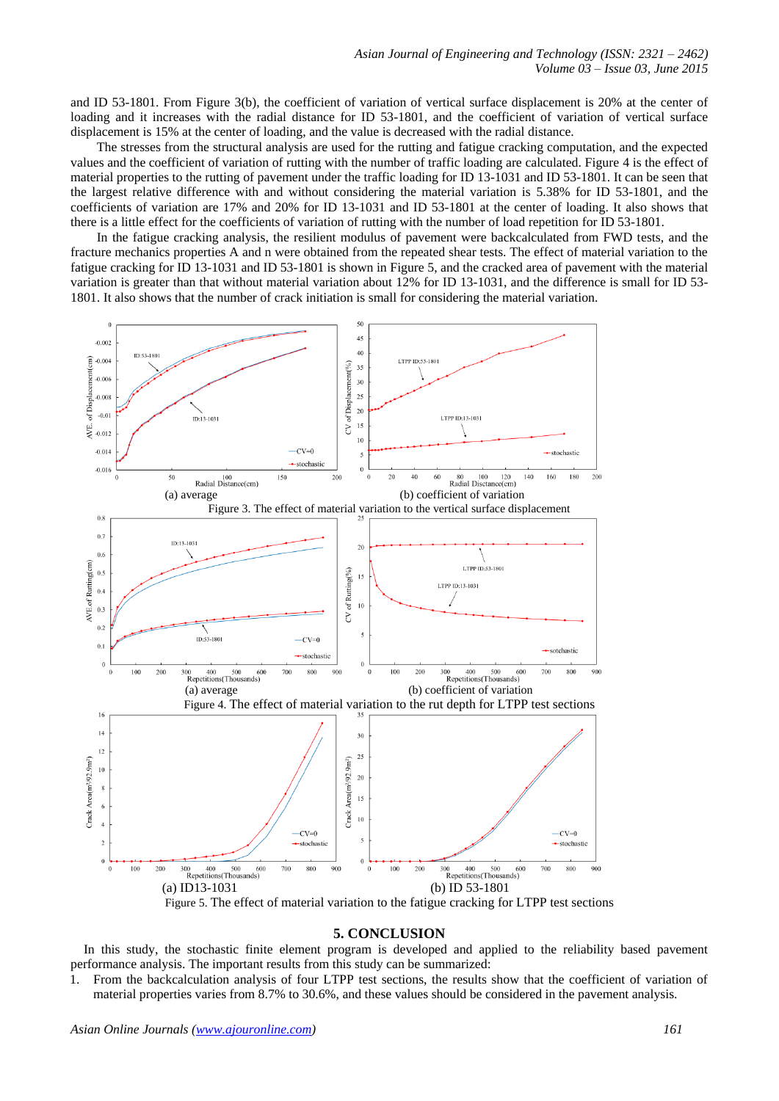and ID 53-1801. From Figure 3(b), the coefficient of variation of vertical surface displacement is 20% at the center of loading and it increases with the radial distance for ID 53-1801, and the coefficient of variation of vertical surface displacement is 15% at the center of loading, and the value is decreased with the radial distance.

The stresses from the structural analysis are used for the rutting and fatigue cracking computation, and the expected values and the coefficient of variation of rutting with the number of traffic loading are calculated. Figure 4 is the effect of material properties to the rutting of pavement under the traffic loading for ID 13-1031 and ID 53-1801. It can be seen that the largest relative difference with and without considering the material variation is 5.38% for ID 53-1801, and the coefficients of variation are 17% and 20% for ID 13-1031 and ID 53-1801 at the center of loading. It also shows that there is a little effect for the coefficients of variation of rutting with the number of load repetition for ID 53-1801.

In the fatigue cracking analysis, the resilient modulus of pavement were backcalculated from FWD tests, and the fracture mechanics properties A and n were obtained from the repeated shear tests. The effect of material variation to the fatigue cracking for ID 13-1031 and ID 53-1801 is shown in Figure 5, and the cracked area of pavement with the material variation is greater than that without material variation about 12% for ID 13-1031, and the difference is small for ID 53- 1801. It also shows that the number of crack initiation is small for considering the material variation.



#### **5. CONCLUSION**

In this study, the stochastic finite element program is developed and applied to the reliability based pavement performance analysis. The important results from this study can be summarized:

1. From the backcalculation analysis of four LTPP test sections, the results show that the coefficient of variation of material properties varies from 8.7% to 30.6%, and these values should be considered in the pavement analysis.